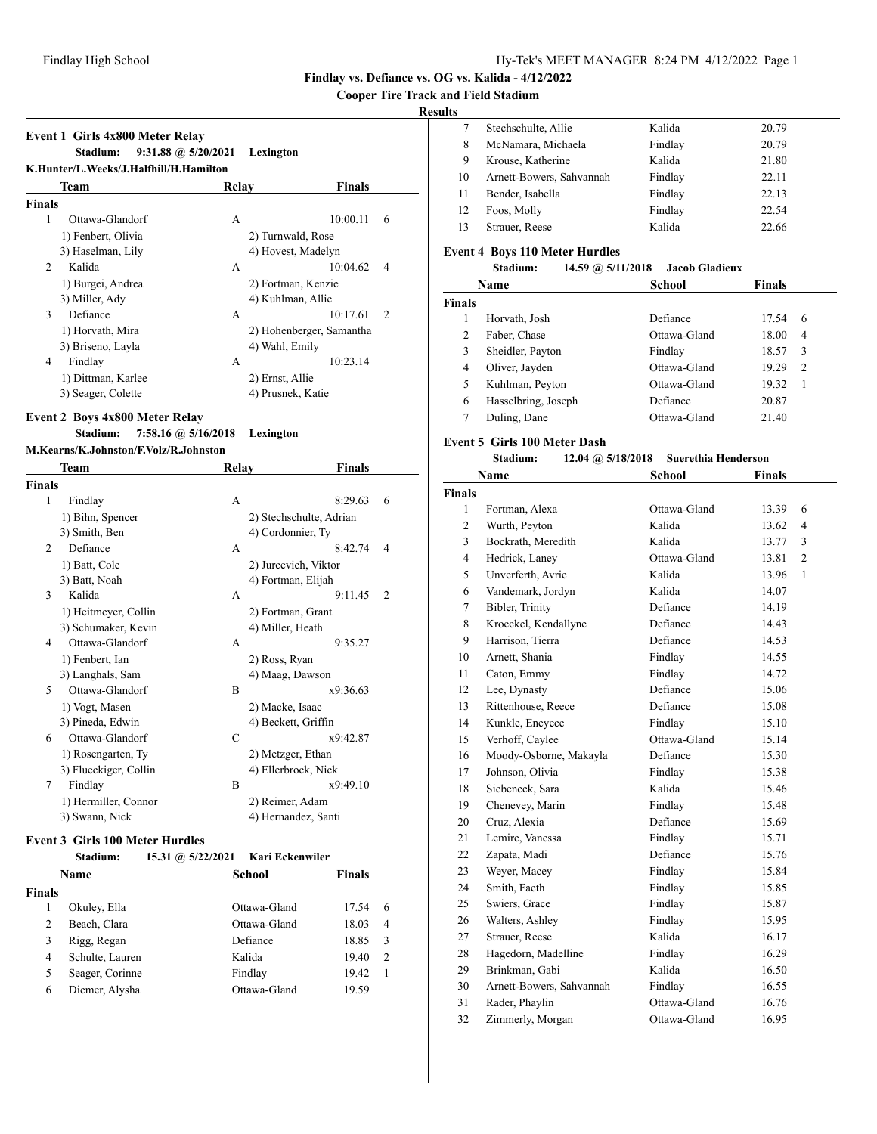**Cooper Tire Track and Field Stadium**

# **Results**

| <b>Event 1 Girls 4x800 Meter Relay</b>             |                                      |                            |
|----------------------------------------------------|--------------------------------------|----------------------------|
| Stadium:<br>K.Hunter/L.Weeks/J.Halfhill/H.Hamilton | $9:31.88$ @ $5/20/2021$<br>Lexington |                            |
| Team                                               | Relav                                | Finals                     |
| <b>Finals</b>                                      |                                      |                            |
| 1<br>Ottawa-Glandorf                               | A                                    | 10:00.11<br>6              |
| 1) Fenbert, Olivia                                 |                                      | 2) Turnwald, Rose          |
| 3) Haselman, Lily                                  |                                      | 4) Hovest, Madelyn         |
| Kalida<br>2                                        | A                                    | 10:04.62<br>4              |
| 1) Burgei, Andrea                                  |                                      | 2) Fortman, Kenzie         |
| 3) Miller, Adv                                     | 4) Kuhlman, Allie                    |                            |
| 3<br>Defiance                                      | A                                    | 10:17.61<br>$\overline{2}$ |
| 1) Horvath, Mira                                   |                                      | 2) Hohenberger, Samantha   |
| 3) Briseno, Layla                                  | 4) Wahl, Emily                       |                            |
| 4<br>Findlay                                       | A                                    | 10:23.14                   |
| 1) Dittman, Karlee                                 | 2) Ernst, Allie                      |                            |
| 3) Seager, Colette                                 | 4) Prusnek, Katie                    |                            |

## **Event 2 Boys 4x800 Meter Relay**

#### **Stadium: 7:58.16 @ 5/16/2018 Lexington**

#### **M.Kearns/K.Johnston/F.Volz/R.Johnston**

|               | Team                  | Relay | Finals                  |                |
|---------------|-----------------------|-------|-------------------------|----------------|
| <b>Finals</b> |                       |       |                         |                |
| 1             | Findlay               | A     | 8:29.63                 | 6              |
|               | 1) Bihn, Spencer      |       | 2) Stechschulte, Adrian |                |
|               | 3) Smith, Ben         |       | 4) Cordonnier, Ty       |                |
| 2             | Defiance              | A     | 8:42.74                 | 4              |
|               | 1) Batt, Cole         |       | 2) Jurcevich, Viktor    |                |
|               | 3) Batt, Noah         |       | 4) Fortman, Elijah      |                |
| 3             | Kalida                | A     | 9:11.45                 | $\overline{c}$ |
|               | 1) Heitmeyer, Collin  |       | 2) Fortman, Grant       |                |
|               | 3) Schumaker, Kevin   |       | 4) Miller, Heath        |                |
| 4             | Ottawa-Glandorf       | A     | 9:35.27                 |                |
|               | 1) Fenbert, Ian       |       | 2) Ross, Ryan           |                |
|               | 3) Langhals, Sam      |       | 4) Maag, Dawson         |                |
| 5             | Ottawa-Glandorf       | B     | x9:36.63                |                |
|               | 1) Vogt, Masen        |       | 2) Macke, Isaac         |                |
|               | 3) Pineda, Edwin      |       | 4) Beckett, Griffin     |                |
| 6             | Ottawa-Glandorf       | C     | x9:42.87                |                |
|               | 1) Rosengarten, Ty    |       | 2) Metzger, Ethan       |                |
|               | 3) Flueckiger, Collin |       | 4) Ellerbrock, Nick     |                |
| 7             | Findlay               | B     | x9:49.10                |                |
|               | 1) Hermiller, Connor  |       | 2) Reimer, Adam         |                |
|               | 3) Swann, Nick        |       | 4) Hernandez, Santi     |                |
|               |                       |       |                         |                |

#### **Event 3 Girls 100 Meter Hurdles**

|        | Stadium:        | 15.31 @ 5/22/2021 Kari Eckenwiler |              |               |   |  |
|--------|-----------------|-----------------------------------|--------------|---------------|---|--|
|        | Name            |                                   | School       | <b>Finals</b> |   |  |
| Finals |                 |                                   |              |               |   |  |
|        | Okuley, Ella    |                                   | Ottawa-Gland | 17.54         | 6 |  |
| 2      | Beach, Clara    |                                   | Ottawa-Gland | 18.03         | 4 |  |
| 3      | Rigg, Regan     |                                   | Defiance     | 18.85         | 3 |  |
| 4      | Schulte, Lauren |                                   | Kalida       | 19.40         | 2 |  |
| 5      | Seager, Corinne |                                   | Findlay      | 19.42         | 1 |  |
| 6      | Diemer, Alysha  |                                   | Ottawa-Gland | 19.59         |   |  |
|        |                 |                                   |              |               |   |  |

| . . |                          |         |       |
|-----|--------------------------|---------|-------|
|     | Stechschulte, Allie      | Kalida  | 20.79 |
| 8   | McNamara, Michaela       | Findlay | 20.79 |
| 9   | Krouse, Katherine        | Kalida  | 21.80 |
| 10  | Arnett-Bowers, Sahvannah | Findlay | 22.11 |
| 11  | Bender, Isabella         | Findlay | 22.13 |
| 12  | Foos, Molly              | Findlay | 22.54 |
| 13  | Strauer, Reese           | Kalida  | 22.66 |
|     |                          |         |       |

## **Event 4 Boys 110 Meter Hurdles**

## **Stadium: 14.59 @ 5/11/2018 Jacob Gladieux**

|               | Name                | School       | <b>Finals</b> |                |
|---------------|---------------------|--------------|---------------|----------------|
| <b>Finals</b> |                     |              |               |                |
|               | Horvath, Josh       | Defiance     | 17.54         | 6              |
| 2             | Faber, Chase        | Ottawa-Gland | 18.00         | 4              |
| 3             | Sheidler, Payton    | Findlay      | 18.57         | 3              |
| 4             | Oliver, Jayden      | Ottawa-Gland | 19.29         | $\overline{2}$ |
| 5             | Kuhlman, Peyton     | Ottawa-Gland | 19.32         | -1             |
| 6             | Hasselbring, Joseph | Defiance     | 20.87         |                |
|               | Duling, Dane        | Ottawa-Gland | 21.40         |                |

#### **Event 5 Girls 100 Meter Dash**

#### **Stadium: 12.04 @ 5/18/2018 Suerethia Henderson**

|                | Name                     | School       | <b>Finals</b> |                |
|----------------|--------------------------|--------------|---------------|----------------|
| <b>Finals</b>  |                          |              |               |                |
| 1              | Fortman, Alexa           | Ottawa-Gland | 13.39         | 6              |
| $\overline{c}$ | Wurth, Peyton            | Kalida       | 13.62         | $\overline{4}$ |
| 3              | Bockrath, Meredith       | Kalida       | 13.77         | 3              |
| 4              | Hedrick, Laney           | Ottawa-Gland | 13.81         | $\overline{2}$ |
| 5              | Unverferth, Avrie        | Kalida       | 13.96         | 1              |
| 6              | Vandemark, Jordyn        | Kalida       | 14.07         |                |
| $\overline{7}$ | Bibler, Trinity          | Defiance     | 14.19         |                |
| 8              | Kroeckel, Kendallyne     | Defiance     | 14.43         |                |
| 9              | Harrison, Tierra         | Defiance     | 14.53         |                |
| 10             | Arnett, Shania           | Findlay      | 14.55         |                |
| 11             | Caton, Emmy              | Findlay      | 14.72         |                |
| 12             | Lee, Dynasty             | Defiance     | 15.06         |                |
| 13             | Rittenhouse, Reece       | Defiance     | 15.08         |                |
| 14             | Kunkle, Eneyece          | Findlay      | 15.10         |                |
| 15             | Verhoff, Caylee          | Ottawa-Gland | 15.14         |                |
| 16             | Moody-Osborne, Makayla   | Defiance     | 15.30         |                |
| 17             | Johnson, Olivia          | Findlay      | 15.38         |                |
| 18             | Siebeneck, Sara          | Kalida       | 15.46         |                |
| 19             | Chenevey, Marin          | Findlay      | 15.48         |                |
| 20             | Cruz, Alexia             | Defiance     | 15.69         |                |
| 21             | Lemire, Vanessa          | Findlay      | 15.71         |                |
| 22             | Zapata, Madi             | Defiance     | 15.76         |                |
| 23             | Weyer, Macey             | Findlay      | 15.84         |                |
| 24             | Smith, Faeth             | Findlay      | 15.85         |                |
| 25             | Swiers, Grace            | Findlay      | 15.87         |                |
| 26             | Walters, Ashley          | Findlay      | 15.95         |                |
| 27             | Strauer, Reese           | Kalida       | 16.17         |                |
| 28             | Hagedorn, Madelline      | Findlay      | 16.29         |                |
| 29             | Brinkman, Gabi           | Kalida       | 16.50         |                |
| 30             | Arnett-Bowers, Sahvannah | Findlay      | 16.55         |                |
| 31             | Rader, Phaylin           | Ottawa-Gland | 16.76         |                |
| 32             | Zimmerly, Morgan         | Ottawa-Gland | 16.95         |                |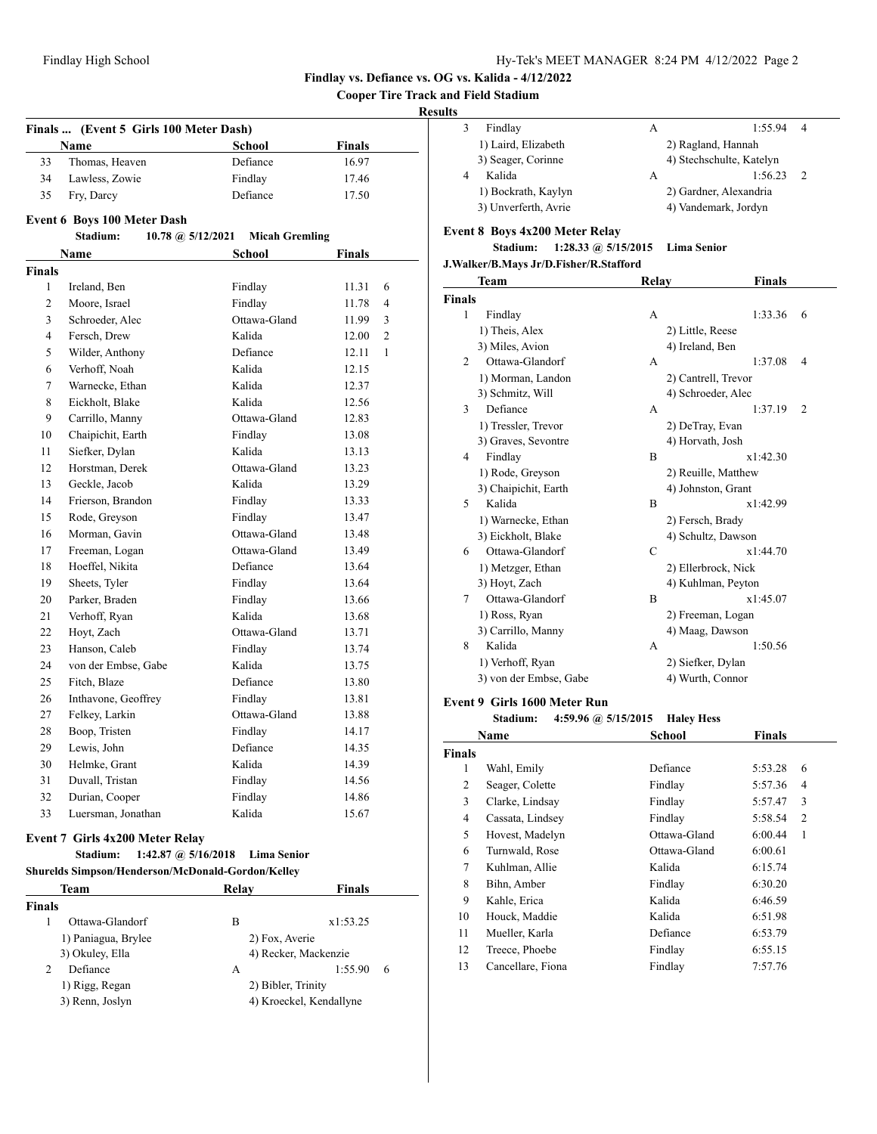**Cooper Tire Track and Field Stadium**

## **Results**

|                | Finals  (Event 5 Girls 100 Meter Dash) |                       |               |              |
|----------------|----------------------------------------|-----------------------|---------------|--------------|
|                | <b>Name</b>                            | <b>School</b>         | <b>Finals</b> |              |
| 33             | Thomas, Heaven                         | Defiance              | 16.97         |              |
| 34             | Lawless, Zowie                         | Findlay               | 17.46         |              |
| 35             | Fry, Darcy                             | Defiance              | 17.50         |              |
|                |                                        |                       |               |              |
|                | <b>Event 6 Boys 100 Meter Dash</b>     |                       |               |              |
|                | Stadium:<br>10.78 $\omega$ 5/12/2021   | <b>Micah Gremling</b> |               |              |
|                | <b>Name</b>                            | <b>School</b>         | <b>Finals</b> |              |
| <b>Finals</b>  |                                        |                       |               |              |
| $\mathbf{1}$   | Ireland, Ben                           | Findlay               | 11.31         | 6            |
| $\overline{c}$ | Moore, Israel                          | Findlay               | 11.78         | 4            |
| 3              | Schroeder, Alec                        | Ottawa-Gland          | 11.99         | 3            |
| 4              | Fersch, Drew                           | Kalida                | 12.00         | 2            |
| 5              | Wilder, Anthony                        | Defiance              | 12.11         | $\mathbf{1}$ |
| 6              | Verhoff, Noah                          | Kalida                | 12.15         |              |
| 7              | Warnecke, Ethan                        | Kalida                | 12.37         |              |
| 8              | Eickholt, Blake                        | Kalida                | 12.56         |              |
| 9              | Carrillo, Manny                        | Ottawa-Gland          | 12.83         |              |
| 10             | Chaipichit, Earth                      | Findlay               | 13.08         |              |
| 11             | Siefker, Dylan                         | Kalida                | 13.13         |              |
| 12             | Horstman, Derek                        | Ottawa-Gland          | 13.23         |              |
| 13             | Geckle, Jacob                          | Kalida                | 13.29         |              |
| 14             | Frierson, Brandon                      | Findlay               | 13.33         |              |
| 15             | Rode, Greyson                          | Findlay               | 13.47         |              |
| 16             | Morman, Gavin                          | Ottawa-Gland          | 13.48         |              |
| 17             | Freeman, Logan                         | Ottawa-Gland          | 13.49         |              |
| 18             | Hoeffel, Nikita                        | Defiance              | 13.64         |              |
| 19             | Sheets, Tyler                          | Findlay               | 13.64         |              |
| 20             | Parker, Braden                         | Findlay               | 13.66         |              |
| 21             | Verhoff, Ryan                          | Kalida                | 13.68         |              |
| 22             | Hoyt, Zach                             | Ottawa-Gland          | 13.71         |              |
| 23             | Hanson, Caleb                          | Findlay               | 13.74         |              |
| 24             | von der Embse, Gabe                    | Kalida                | 13.75         |              |
| 25             | Fitch, Blaze                           | Defiance              | 13.80         |              |
| 26             | Inthavone, Geoffrey                    | Findlay               | 13.81         |              |
| 27             | Felkey, Larkin                         | Ottawa-Gland          | 13.88         |              |
| 28             | Boop, Tristen                          | Findlay               | 14.17         |              |
| 29             | Lewis, John                            | Defiance              | 14.35         |              |
| 30             | Helmke, Grant                          | Kalida                | 14.39         |              |
| 31             | Duvall, Tristan                        | Findlay               | 14.56         |              |
| 32             | Durian, Cooper                         | Findlay               | 14.86         |              |
| 33             | Luersman, Jonathan                     | Kalida                | 15.67         |              |

#### **Event 7 Girls 4x200 Meter Relay**

# **Stadium: 1:42.87 @ 5/16/2018 Lima Senior**

|               | Team                | Relav | Finals                  |
|---------------|---------------------|-------|-------------------------|
| <b>Finals</b> |                     |       |                         |
|               | Ottawa-Glandorf     | В     | x1:53.25                |
|               | 1) Paniagua, Brylee |       | 2) Fox, Averie          |
|               | 3) Okuley, Ella     |       | 4) Recker, Mackenzie    |
| 2             | Defiance            | А     | 1:55.90<br>6            |
|               | 1) Rigg, Regan      |       | 2) Bibler, Trinity      |
|               | 3) Renn, Joslyn     |       | 4) Kroeckel, Kendallyne |

| . . |                      |   |                          |   |  |
|-----|----------------------|---|--------------------------|---|--|
|     | Findlay              | А | 1.5594                   | 4 |  |
|     | 1) Laird, Elizabeth  |   | 2) Ragland, Hannah       |   |  |
|     | 3) Seager, Corinne   |   | 4) Stechschulte, Katelyn |   |  |
|     | Kalida               | А | 1:56.23                  |   |  |
|     | 1) Bockrath, Kaylyn  |   | 2) Gardner, Alexandria   |   |  |
|     | 3) Unverferth, Avrie |   | 4) Vandemark, Jordyn     |   |  |
|     |                      |   |                          |   |  |

## **Event 8 Boys 4x200 Meter Relay**

# **Stadium: 1:28.33 @ 5/15/2015 Lima Senior**

# **J.Walker/B.Mays Jr/D.Fisher/R.Stafford**

|                | Team                   | Relay | <b>Finals</b>       |   |
|----------------|------------------------|-------|---------------------|---|
| Finals         |                        |       |                     |   |
| 1              | Findlay                | A     | 1:33.36             | 6 |
|                | 1) Theis, Alex         |       | 2) Little, Reese    |   |
|                | 3) Miles, Avion        |       | 4) Ireland, Ben     |   |
| $\overline{c}$ | Ottawa-Glandorf        | A     | 1:37.08             | 4 |
|                | 1) Morman, Landon      |       | 2) Cantrell, Trevor |   |
|                | 3) Schmitz, Will       |       | 4) Schroeder, Alec  |   |
| 3              | Defiance               | A     | 1:37.19             | 2 |
|                | 1) Tressler, Trevor    |       | 2) DeTray, Evan     |   |
|                | 3) Graves, Sevontre    |       | 4) Horvath, Josh    |   |
| 4              | Findlay                | B     | x1:42.30            |   |
|                | 1) Rode, Greyson       |       | 2) Reuille, Matthew |   |
|                | 3) Chaipichit, Earth   |       | 4) Johnston, Grant  |   |
| 5              | Kalida                 | B     | x1:42.99            |   |
|                | 1) Warnecke, Ethan     |       | 2) Fersch, Brady    |   |
|                | 3) Eickholt, Blake     |       | 4) Schultz, Dawson  |   |
| 6              | Ottawa-Glandorf        | C     | x1:44.70            |   |
|                | 1) Metzger, Ethan      |       | 2) Ellerbrock, Nick |   |
|                | 3) Hoyt, Zach          |       | 4) Kuhlman, Peyton  |   |
| 7              | Ottawa-Glandorf        | B     | x1:45.07            |   |
|                | 1) Ross, Ryan          |       | 2) Freeman, Logan   |   |
|                | 3) Carrillo, Manny     |       | 4) Maag, Dawson     |   |
| 8              | Kalida                 | A     | 1:50.56             |   |
|                | 1) Verhoff, Ryan       |       | 2) Siefker, Dylan   |   |
|                | 3) von der Embse, Gabe |       | 4) Wurth, Connor    |   |
| ∽              | (0.011.40035)          |       |                     |   |

## **Event 9 Girls 1600 Meter Run**

#### **Stadium: 4:59.96 @ 5/15/2015 Haley Hess**

|               | Name              | <b>School</b> | <b>Finals</b>             |  |
|---------------|-------------------|---------------|---------------------------|--|
| <b>Finals</b> |                   |               |                           |  |
| 1             | Wahl, Emily       | Defiance      | 5:53.28<br>6              |  |
| 2             | Seager, Colette   | Findlay       | 5:57.36<br>4              |  |
| 3             | Clarke, Lindsay   | Findlay       | 5:57.47<br>3              |  |
| 4             | Cassata, Lindsey  | Findlay       | 5:58.54<br>$\overline{2}$ |  |
| 5             | Hovest, Madelyn   | Ottawa-Gland  | 6:00.44<br>1              |  |
| 6             | Turnwald, Rose    | Ottawa-Gland  | 6:00.61                   |  |
| 7             | Kuhlman, Allie    | Kalida        | 6:15.74                   |  |
| 8             | Bihn, Amber       | Findlay       | 6:30.20                   |  |
| 9             | Kahle, Erica      | Kalida        | 6:46.59                   |  |
| 10            | Houck, Maddie     | Kalida        | 6:51.98                   |  |
| 11            | Mueller, Karla    | Defiance      | 6:53.79                   |  |
| 12            | Treece, Phoebe    | Findlay       | 6:55.15                   |  |
| 13            | Cancellare, Fiona | Findlay       | 7:57.76                   |  |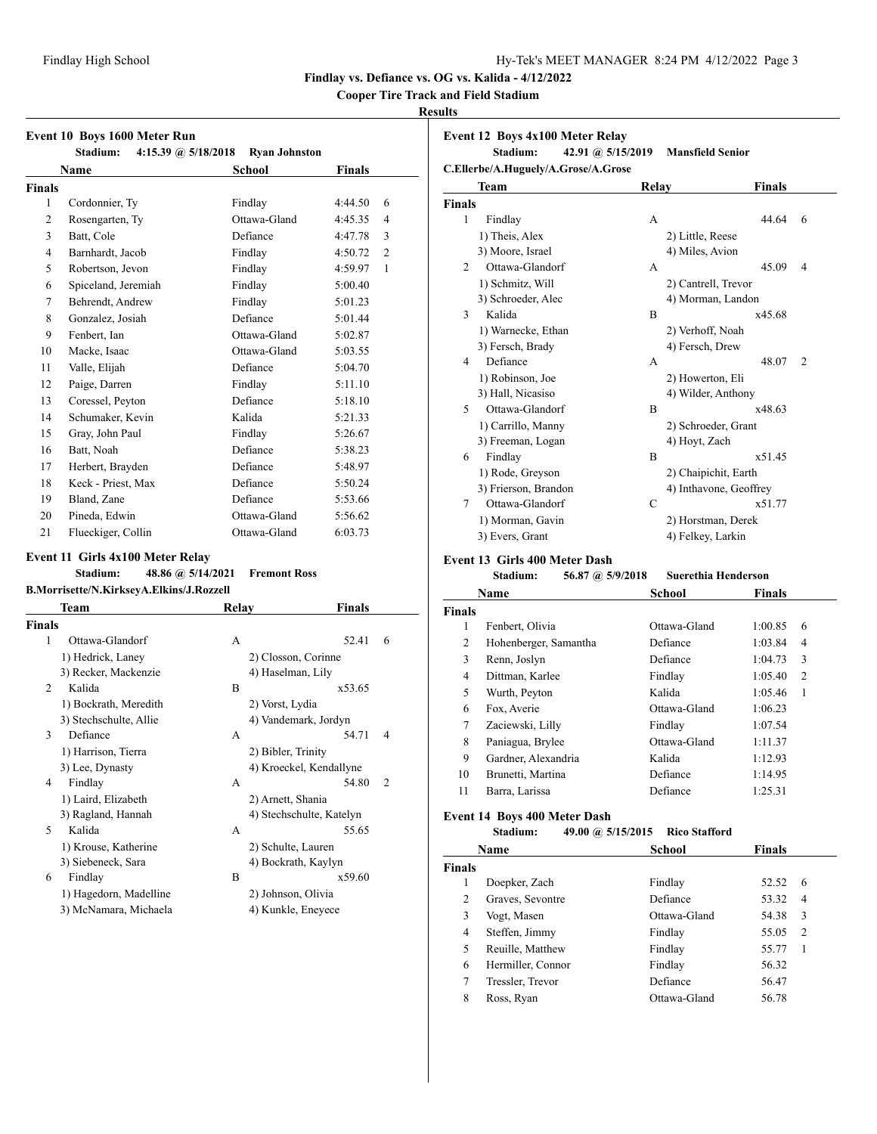**Cooper Tire Track and Field Stadium**

#### **Results**

| Event 10 Boys 1600 Meter Run<br>Stadium:<br>4:15.39 @ $5/18/2018$<br><b>Ryan Johnston</b> |                     |              |                           |  |  |
|-------------------------------------------------------------------------------------------|---------------------|--------------|---------------------------|--|--|
|                                                                                           | <b>Name</b>         | School       | Finals                    |  |  |
| <b>Finals</b>                                                                             |                     |              |                           |  |  |
| 1                                                                                         | Cordonnier, Ty      | Findlay      | 4:44.50<br>6              |  |  |
| 2                                                                                         | Rosengarten, Ty     | Ottawa-Gland | 4:45.35<br>4              |  |  |
| 3                                                                                         | Batt, Cole          | Defiance     | 4:47.78<br>3              |  |  |
| 4                                                                                         | Barnhardt, Jacob    | Findlay      | $\overline{2}$<br>4:50.72 |  |  |
| 5                                                                                         | Robertson, Jevon    | Findlay      | 1<br>4:59.97              |  |  |
| 6                                                                                         | Spiceland, Jeremiah | Findlay      | 5:00.40                   |  |  |
| 7                                                                                         | Behrendt, Andrew    | Findlay      | 5:01.23                   |  |  |
| 8                                                                                         | Gonzalez, Josiah    | Defiance     | 5:01.44                   |  |  |
| 9                                                                                         | Fenbert, Ian        | Ottawa-Gland | 5:02.87                   |  |  |
| 10                                                                                        | Macke, Isaac        | Ottawa-Gland | 5:03.55                   |  |  |
| 11                                                                                        | Valle, Elijah       | Defiance     | 5:04.70                   |  |  |
| 12                                                                                        | Paige, Darren       | Findlay      | 5:11.10                   |  |  |
| 13                                                                                        | Coressel, Peyton    | Defiance     | 5:18.10                   |  |  |
| 14                                                                                        | Schumaker, Kevin    | Kalida       | 5:21.33                   |  |  |
| 15                                                                                        | Gray, John Paul     | Findlay      | 5:26.67                   |  |  |
| 16                                                                                        | Batt, Noah          | Defiance     | 5:38.23                   |  |  |
| 17                                                                                        | Herbert, Brayden    | Defiance     | 5:48.97                   |  |  |
| 18                                                                                        | Keck - Priest, Max  | Defiance     | 5:50.24                   |  |  |
| 19                                                                                        | Bland, Zane         | Defiance     | 5:53.66                   |  |  |
| 20                                                                                        | Pineda, Edwin       | Ottawa-Gland | 5:56.62                   |  |  |
| 21                                                                                        | Flueckiger, Collin  | Ottawa-Gland | 6:03.73                   |  |  |

## **Event 11 Girls 4x100 Meter Relay**

| Stadium: | 48.86 @ 5/14/2021                        | <b>Fremont Ross</b> |
|----------|------------------------------------------|---------------------|
|          | B.Morrisette/N.KirkseyA.Elkins/J.Rozzell |                     |

| Team                   |   | Finals                   |       |
|------------------------|---|--------------------------|-------|
| Finals                 |   |                          |       |
| Ottawa-Glandorf        | A | 52.41                    | 6     |
| 1) Hedrick, Laney      |   | 2) Closson, Corinne      |       |
| 3) Recker, Mackenzie   |   | 4) Haselman, Lily        |       |
| Kalida                 | B | x53.65                   |       |
| 1) Bockrath, Meredith  |   | 2) Vorst, Lydia          |       |
| 3) Stechschulte, Allie |   | 4) Vandemark, Jordyn     |       |
| Defiance               | A | 54.71                    | 4     |
| 1) Harrison, Tierra    |   | 2) Bibler, Trinity       |       |
| 3) Lee, Dynasty        |   | 4) Kroeckel, Kendallyne  |       |
| Findlay                | A | 54.80                    | 2     |
| 1) Laird, Elizabeth    |   | 2) Arnett, Shania        |       |
| 3) Ragland, Hannah     |   | 4) Stechschulte, Katelyn |       |
| Kalida                 | A | 55.65                    |       |
| 1) Krouse, Katherine   |   | 2) Schulte, Lauren       |       |
| 3) Siebeneck, Sara     |   | 4) Bockrath, Kaylyn      |       |
| Findlay                | B | x59.60                   |       |
| 1) Hagedorn, Madelline |   | 2) Johnson, Olivia       |       |
| 3) McNamara, Michaela  |   | 4) Kunkle, Eneyece       |       |
|                        |   |                          | Relay |

# **Event 12 Boys 4x100 Meter Relay**

**Stadium: 42.91 @ 5/15/2019 Mansfield Senior C.Ellerbe/A.Huguely/A.Grose/A.Grose**

| Team                              | Relay | <b>Finals</b>          |                |
|-----------------------------------|-------|------------------------|----------------|
| <b>Finals</b>                     |       |                        |                |
| Findlay<br>1                      | A     | 44.64                  | 6              |
| 1) Theis, Alex                    |       | 2) Little, Reese       |                |
| 3) Moore, Israel                  |       | 4) Miles, Avion        |                |
| Ottawa-Glandorf<br>$\overline{c}$ | A     | 45.09                  | $\overline{4}$ |
| 1) Schmitz, Will                  |       | 2) Cantrell, Trevor    |                |
| 3) Schroeder, Alec                |       | 4) Morman, Landon      |                |
| 3<br>Kalida                       | B     | x45.68                 |                |
| 1) Warnecke, Ethan                |       | 2) Verhoff, Noah       |                |
| 3) Fersch, Brady                  |       | 4) Fersch, Drew        |                |
| Defiance<br>4                     | A     | 48.07                  | $\overline{2}$ |
| 1) Robinson, Joe                  |       | 2) Howerton, Eli       |                |
| 3) Hall, Nicasiso                 |       | 4) Wilder, Anthony     |                |
| Ottawa-Glandorf<br>5              | B     | x48.63                 |                |
| 1) Carrillo, Manny                |       | 2) Schroeder, Grant    |                |
| 3) Freeman, Logan                 |       | 4) Hoyt, Zach          |                |
| Findlay<br>6                      | B     | x51.45                 |                |
| 1) Rode, Greyson                  |       | 2) Chaipichit, Earth   |                |
| 3) Frierson, Brandon              |       | 4) Inthavone, Geoffrey |                |
| Ottawa-Glandorf<br>7              | C     | x51.77                 |                |
| 1) Morman, Gavin                  |       | 2) Horstman, Derek     |                |
| 3) Evers, Grant                   |       | 4) Felkey, Larkin      |                |

## **Event 13 Girls 400 Meter Dash**

|               | Stadium:              | 56.87 @ 5/9/2018 | <b>Suerethia Henderson</b> |               |                |
|---------------|-----------------------|------------------|----------------------------|---------------|----------------|
|               | <b>Name</b>           |                  | School                     | <b>Finals</b> |                |
| <b>Finals</b> |                       |                  |                            |               |                |
| 1             | Fenbert, Olivia       |                  | Ottawa-Gland               | 1:00.85       | 6              |
| 2             | Hohenberger, Samantha |                  | Defiance                   | 1:03.84       | 4              |
| 3             | Renn, Joslyn          |                  | Defiance                   | 1:04.73       | 3              |
| 4             | Dittman, Karlee       |                  | Findlay                    | 1:05.40       | $\overline{c}$ |
| 5             | Wurth, Peyton         |                  | Kalida                     | 1:05.46       | 1              |
| 6             | Fox, Averie           |                  | Ottawa-Gland               | 1:06.23       |                |
| 7             | Zaciewski, Lilly      |                  | Findlay                    | 1:07.54       |                |
| 8             | Paniagua, Brylee      |                  | Ottawa-Gland               | 1:11.37       |                |
| 9             | Gardner, Alexandria   |                  | Kalida                     | 1:12.93       |                |
| 10            | Brunetti, Martina     |                  | Defiance                   | 1:14.95       |                |
| 11            | Barra, Larissa        |                  | Defiance                   | 1:25.31       |                |

#### **Event 14 Boys 400 Meter Dash**

|  | Stadium: | 49.00 @ $5/15/2015$ | <b>Rico Stafford</b> |
|--|----------|---------------------|----------------------|
|--|----------|---------------------|----------------------|

|               | Name              | School       | Finals |                |
|---------------|-------------------|--------------|--------|----------------|
| <b>Finals</b> |                   |              |        |                |
|               | Doepker, Zach     | Findlay      | 52.52  | 6              |
| 2             | Graves, Sevontre  | Defiance     | 53.32  | $\overline{4}$ |
| 3             | Vogt, Masen       | Ottawa-Gland | 54.38  | 3              |
| 4             | Steffen, Jimmy    | Findlay      | 55.05  | 2              |
| 5             | Reuille, Matthew  | Findlay      | 55.77  | 1              |
| 6             | Hermiller, Connor | Findlay      | 56.32  |                |
| 7             | Tressler, Trevor  | Defiance     | 56.47  |                |
| 8             | Ross, Ryan        | Ottawa-Gland | 56.78  |                |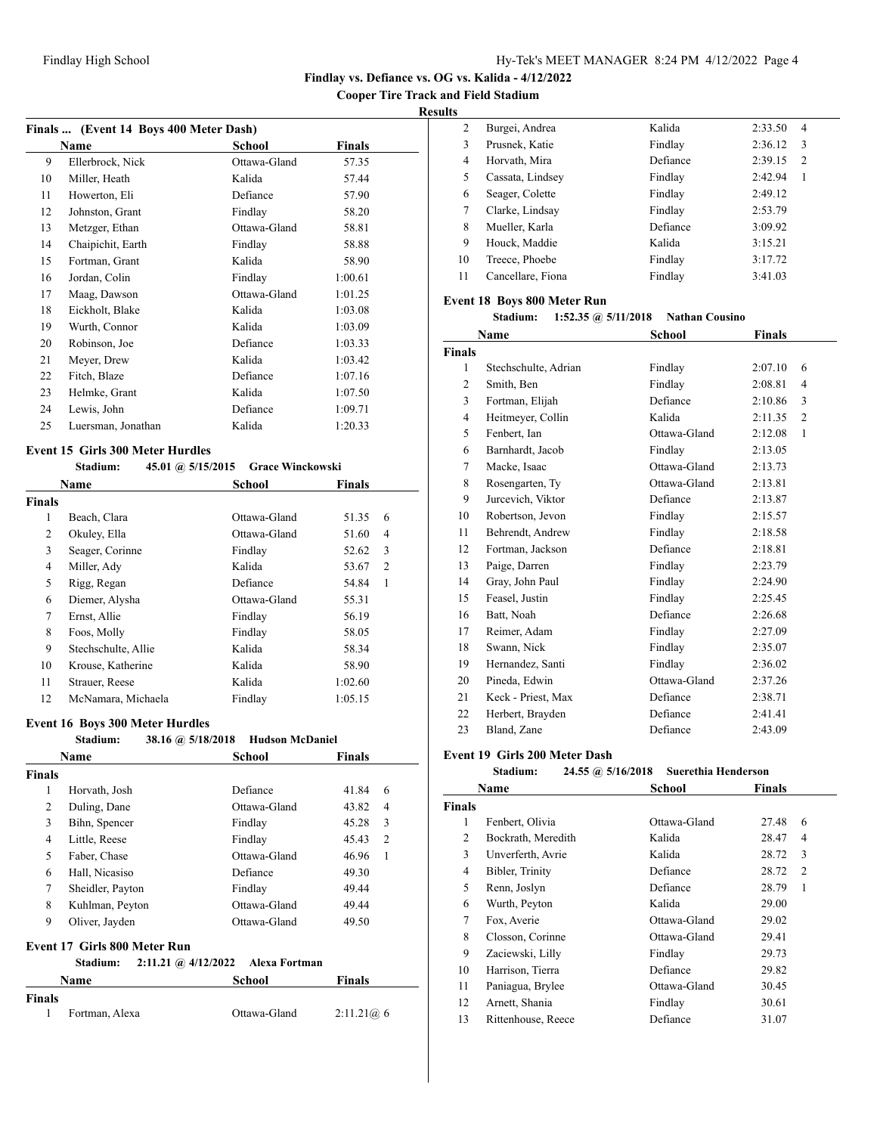**Cooper Tire Track and Field Stadium**

## **Results**

|    | Finals  (Event 14 Boys 400 Meter Dash) |              |         |  |
|----|----------------------------------------|--------------|---------|--|
|    | Name                                   | School       | Finals  |  |
| 9  | Ellerbrock, Nick                       | Ottawa-Gland | 57.35   |  |
| 10 | Miller, Heath                          | Kalida       | 57.44   |  |
| 11 | Howerton, Eli                          | Defiance     | 57.90   |  |
| 12 | Johnston, Grant                        | Findlay      | 58.20   |  |
| 13 | Metzger, Ethan                         | Ottawa-Gland | 58.81   |  |
| 14 | Chaipichit, Earth                      | Findlay      | 58.88   |  |
| 15 | Fortman, Grant                         | Kalida       | 58.90   |  |
| 16 | Jordan, Colin                          | Findlay      | 1:00.61 |  |
| 17 | Maag, Dawson                           | Ottawa-Gland | 1:01.25 |  |
| 18 | Eickholt, Blake                        | Kalida       | 1:03.08 |  |
| 19 | Wurth, Connor                          | Kalida       | 1:03.09 |  |
| 20 | Robinson, Joe                          | Defiance     | 1:03.33 |  |
| 21 | Meyer, Drew                            | Kalida       | 1:03.42 |  |
| 22 | Fitch, Blaze                           | Defiance     | 1:07.16 |  |
| 23 | Helmke, Grant                          | Kalida       | 1:07.50 |  |
| 24 | Lewis, John                            | Defiance     | 1:09.71 |  |
| 25 | Luersman, Jonathan                     | Kalida       | 1:20.33 |  |

# **Event 15 Girls 300 Meter Hurdles**

|               | 45.01 @ 5/15/2015<br>Stadium: | <b>Grace Winckowski</b> |               |  |
|---------------|-------------------------------|-------------------------|---------------|--|
|               | Name                          | School                  | <b>Finals</b> |  |
| <b>Finals</b> |                               |                         |               |  |
| 1             | Beach, Clara                  | Ottawa-Gland            | 51.35<br>6    |  |
| 2             | Okuley, Ella                  | Ottawa-Gland            | 51.60<br>4    |  |
| 3             | Seager, Corinne               | Findlay                 | 3<br>52.62    |  |
| 4             | Miller, Ady                   | Kalida                  | 2<br>53.67    |  |
| 5             | Rigg, Regan                   | Defiance                | 1<br>54.84    |  |
| 6             | Diemer, Alysha                | Ottawa-Gland            | 55.31         |  |
| 7             | Ernst, Allie                  | Findlay                 | 56.19         |  |
| 8             | Foos, Molly                   | Findlay                 | 58.05         |  |
| 9             | Stechschulte, Allie           | Kalida                  | 58.34         |  |
| 10            | Krouse, Katherine             | Kalida                  | 58.90         |  |
| 11            | Strauer, Reese                | Kalida                  | 1:02.60       |  |
| 12            | McNamara, Michaela            | Findlay                 | 1:05.15       |  |

## **Event 16 Boys 300 Meter Hurdles**

|                | Stadium:                     | 38.16 @ 5/18/2018 Hudson McDaniel |                |
|----------------|------------------------------|-----------------------------------|----------------|
|                | Name                         | Finals<br>School                  |                |
| <b>Finals</b>  |                              |                                   |                |
| 1              | Horvath, Josh                | Defiance<br>41.84                 | 6              |
| $\overline{c}$ | Duling, Dane                 | Ottawa-Gland<br>43.82             | 4              |
| 3              | Bihn, Spencer                | 45.28<br>Findlay                  | 3              |
| 4              | Little, Reese                | 45.43<br>Findlay                  | $\mathfrak{D}$ |
| 5              | Faber, Chase                 | Ottawa-Gland<br>46.96             | $\mathbf{1}$   |
| 6              | Hall, Nicasiso               | Defiance<br>49.30                 |                |
| 7              | Sheidler, Payton             | 49.44<br>Findlay                  |                |
| 8              | Kuhlman, Peyton              | Ottawa-Gland<br>49.44             |                |
| 9              | Oliver, Jayden               | 49.50<br>Ottawa-Gland             |                |
|                | Event 17 Girls 800 Meter Run |                                   |                |
|                | Stadium:                     | 2:11.21 @ 4/12/2022 Alexa Fortman |                |
|                | Name                         | Finals<br>School                  |                |
| <b>Finals</b>  |                              |                                   |                |
| 1              | Fortman, Alexa               | Ottawa-Gland<br>2:11.21@6         |                |

|                | Burgei, Andrea<br>2   | Kalida   | 2:33.50<br>$\overline{4}$ |  |
|----------------|-----------------------|----------|---------------------------|--|
| 3              | Prusnek, Katie        | Findlay  | 2:36.12<br>3              |  |
| $\overline{4}$ | Horvath, Mira         | Defiance | 2:39.15<br>2              |  |
|                | 5<br>Cassata, Lindsey | Findlay  | 2:42.94<br>1              |  |
|                | Seager, Colette<br>6  | Findlay  | 2:49.12                   |  |
|                | Clarke, Lindsay<br>7  | Findlay  | 2:53.79                   |  |
| 8              | Mueller, Karla        | Defiance | 3:09.92                   |  |
| 9              | Houck, Maddie         | Kalida   | 3:15.21                   |  |
| 10             | Treece, Phoebe        | Findlay  | 3:17.72                   |  |
| 11             | Cancellare, Fiona     | Findlay  | 3:41.03                   |  |
|                |                       |          |                           |  |

# **Event 18 Boys 800 Meter Run**

**Stadium: 1:52.35 @ 5/11/2018 Nathan Cousino**

|                | Name                 | School       | <b>Finals</b>             |
|----------------|----------------------|--------------|---------------------------|
| <b>Finals</b>  |                      |              |                           |
| 1              | Stechschulte, Adrian | Findlay      | 2:07.10<br>6              |
| 2              | Smith, Ben           | Findlay      | 2:08.81<br>$\overline{4}$ |
| 3              | Fortman, Elijah      | Defiance     | 2:10.86<br>3              |
| $\overline{4}$ | Heitmeyer, Collin    | Kalida       | 2:11.35<br>$\overline{2}$ |
| 5              | Fenbert, Ian         | Ottawa-Gland | 2:12.08<br>$\mathbf{1}$   |
| 6              | Barnhardt, Jacob     | Findlay      | 2:13.05                   |
| 7              | Macke, Isaac         | Ottawa-Gland | 2:13.73                   |
| 8              | Rosengarten, Ty      | Ottawa-Gland | 2:13.81                   |
| 9              | Jurcevich, Viktor    | Defiance     | 2:13.87                   |
| 10             | Robertson, Jevon     | Findlay      | 2:15.57                   |
| 11             | Behrendt, Andrew     | Findlay      | 2:18.58                   |
| 12             | Fortman, Jackson     | Defiance     | 2:18.81                   |
| 13             | Paige, Darren        | Findlay      | 2:23.79                   |
| 14             | Gray, John Paul      | Findlay      | 2:24.90                   |
| 15             | Feasel, Justin       | Findlay      | 2:25.45                   |
| 16             | Batt, Noah           | Defiance     | 2:26.68                   |
| 17             | Reimer, Adam         | Findlay      | 2:27.09                   |
| 18             | Swann, Nick          | Findlay      | 2:35.07                   |
| 19             | Hernandez, Santi     | Findlay      | 2:36.02                   |
| 20             | Pineda, Edwin        | Ottawa-Gland | 2:37.26                   |
| 21             | Keck - Priest, Max   | Defiance     | 2:38.71                   |
| 22             | Herbert, Brayden     | Defiance     | 2:41.41                   |
| 23             | Bland, Zane          | Defiance     | 2:43.09                   |

| <b>Suerethia Henderson</b><br>Stadium:<br>$24.55 \; \omega$ 5/16/2018 |                    |              |                         |
|-----------------------------------------------------------------------|--------------------|--------------|-------------------------|
|                                                                       | Name               | School       | Finals                  |
| <b>Finals</b>                                                         |                    |              |                         |
| 1                                                                     | Fenbert, Olivia    | Ottawa-Gland | 27.48<br>6              |
| 2                                                                     | Bockrath, Meredith | Kalida       | 4<br>28.47              |
| 3                                                                     | Unverferth, Avrie  | Kalida       | 3<br>28.72              |
| 4                                                                     | Bibler, Trinity    | Defiance     | 28.72<br>$\overline{c}$ |
| 5                                                                     | Renn, Joslyn       | Defiance     | 28.79<br>1              |
| 6                                                                     | Wurth, Peyton      | Kalida       | 29.00                   |
| 7                                                                     | Fox, Averie        | Ottawa-Gland | 29.02                   |
| 8                                                                     | Closson, Corinne   | Ottawa-Gland | 29.41                   |
| 9                                                                     | Zaciewski, Lilly   | Findlay      | 29.73                   |
| 10                                                                    | Harrison, Tierra   | Defiance     | 29.82                   |
| 11                                                                    | Paniagua, Brylee   | Ottawa-Gland | 30.45                   |
| 12                                                                    | Arnett, Shania     | Findlay      | 30.61                   |
| 13                                                                    | Rittenhouse, Reece | Defiance     | 31.07                   |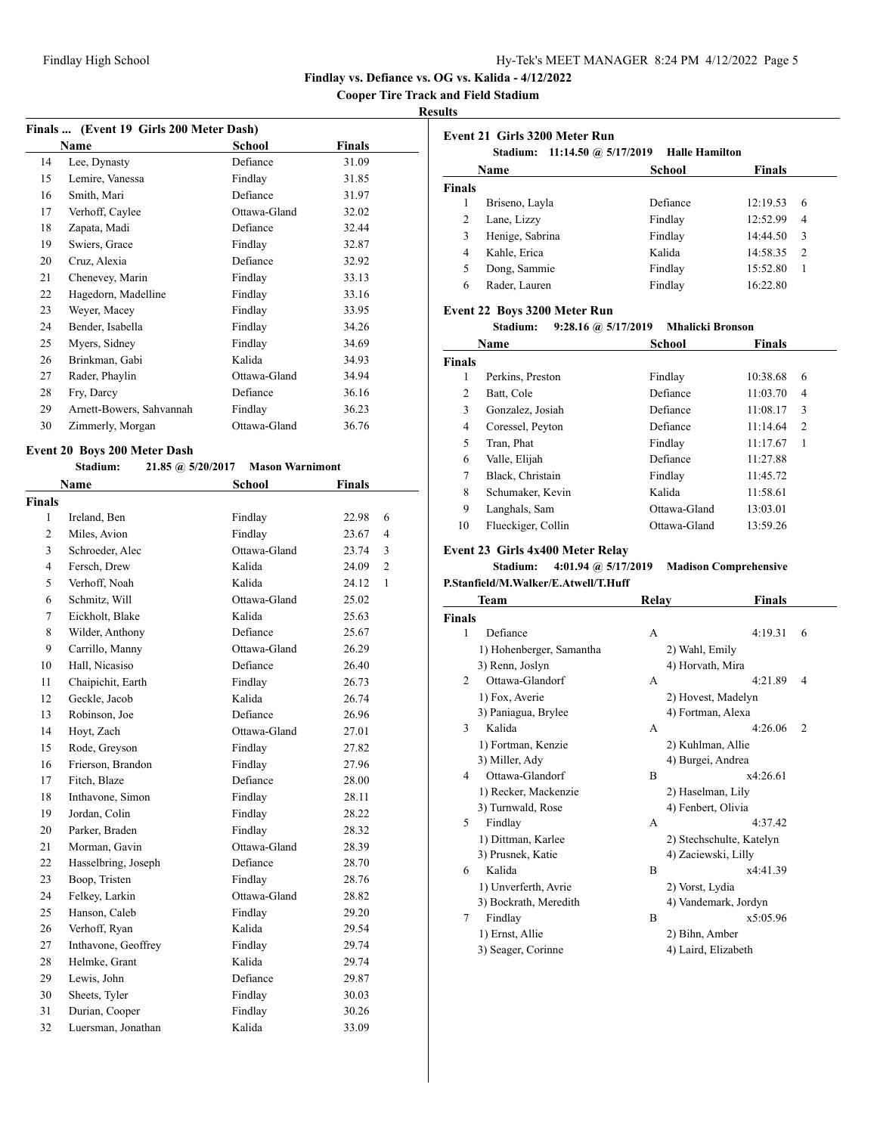**Cooper Tire Track and Field Stadium**

#### **Results**

|    | Finals  (Event 19 Girls 200 Meter Dash) |              |        |  |
|----|-----------------------------------------|--------------|--------|--|
|    | Name                                    | School       | Finals |  |
| 14 | Lee, Dynasty                            | Defiance     | 31.09  |  |
| 15 | Lemire, Vanessa                         | Findlay      | 31.85  |  |
| 16 | Smith, Mari                             | Defiance     | 31.97  |  |
| 17 | Verhoff, Caylee                         | Ottawa-Gland | 32.02  |  |
| 18 | Zapata, Madi                            | Defiance     | 32.44  |  |
| 19 | Swiers, Grace                           | Findlay      | 32.87  |  |
| 20 | Cruz, Alexia                            | Defiance     | 32.92  |  |
| 21 | Chenevey, Marin                         | Findlay      | 33.13  |  |
| 22 | Hagedorn, Madelline                     | Findlay      | 33.16  |  |
| 23 | Weyer, Macey                            | Findlay      | 33.95  |  |
| 24 | Bender, Isabella                        | Findlay      | 34.26  |  |
| 25 | Myers, Sidney                           | Findlay      | 34.69  |  |
| 26 | Brinkman, Gabi                          | Kalida       | 34.93  |  |
| 27 | Rader, Phaylin                          | Ottawa-Gland | 34.94  |  |
| 28 | Fry, Darcy                              | Defiance     | 36.16  |  |
| 29 | Arnett-Bowers, Sahvannah                | Findlay      | 36.23  |  |
| 30 | Zimmerly, Morgan                        | Ottawa-Gland | 36.76  |  |

#### **Event 20 Boys 200 Meter Dash**<br>Stadium: 21.85 **Stadium: 21.85 @ 5/20/2017 Mason Warnimont**

|                | Stadium:<br>21.85 (a) 5/20/2017 | <b>Mason Warnimont</b> |                         |
|----------------|---------------------------------|------------------------|-------------------------|
|                | Name                            | <b>School</b>          | <b>Finals</b>           |
| Finals         |                                 |                        |                         |
| 1              | Ireland, Ben                    | Findlay                | 6<br>22.98              |
| $\overline{c}$ | Miles, Avion                    | Findlay                | $\overline{4}$<br>23.67 |
| 3              | Schroeder, Alec                 | Ottawa-Gland           | 3<br>23.74              |
| $\overline{4}$ | Fersch, Drew                    | Kalida                 | $\overline{c}$<br>24.09 |
| 5              | Verhoff, Noah                   | Kalida                 | 1<br>24.12              |
| 6              | Schmitz, Will                   | Ottawa-Gland           | 25.02                   |
| 7              | Eickholt, Blake                 | Kalida                 | 25.63                   |
| 8              | Wilder, Anthony                 | Defiance               | 25.67                   |
| 9              | Carrillo, Manny                 | Ottawa-Gland           | 26.29                   |
| 10             | Hall, Nicasiso                  | Defiance               | 26.40                   |
| 11             | Chaipichit, Earth               | Findlay                | 26.73                   |
| 12             | Geckle, Jacob                   | Kalida                 | 26.74                   |
| 13             | Robinson, Joe                   | Defiance               | 26.96                   |
| 14             | Hoyt, Zach                      | Ottawa-Gland           | 27.01                   |
| 15             | Rode, Greyson                   | Findlay                | 27.82                   |
| 16             | Frierson, Brandon               | Findlay                | 27.96                   |
| 17             | Fitch, Blaze                    | Defiance               | 28.00                   |
| 18             | Inthavone, Simon                | Findlay                | 28.11                   |
| 19             | Jordan, Colin                   | Findlay                | 28.22                   |
| 20             | Parker, Braden                  | Findlay                | 28.32                   |
| 21             | Morman, Gavin                   | Ottawa-Gland           | 28.39                   |
| 22             | Hasselbring, Joseph             | Defiance               | 28.70                   |
| 23             | Boop, Tristen                   | Findlay                | 28.76                   |
| 24             | Felkey, Larkin                  | Ottawa-Gland           | 28.82                   |
| 25             | Hanson, Caleb                   | Findlay                | 29.20                   |
| 26             | Verhoff, Ryan                   | Kalida                 | 29.54                   |
| 27             | Inthavone, Geoffrey             | Findlay                | 29.74                   |
| 28             | Helmke, Grant                   | Kalida                 | 29.74                   |
| 29             | Lewis, John                     | Defiance               | 29.87                   |
| 30             | Sheets, Tyler                   | Findlay                | 30.03                   |
| 31             | Durian, Cooper                  | Findlay                | 30.26                   |
| 32             | Luersman, Jonathan              | Kalida                 | 33.09                   |

| Event 21 Girls 3200 Meter Run<br>11:14.50 @ $5/17/2019$<br><b>Halle Hamilton</b><br>Stadium: |                 |          |               |
|----------------------------------------------------------------------------------------------|-----------------|----------|---------------|
| School<br><b>Finals</b><br>Name                                                              |                 |          |               |
| <b>Finals</b>                                                                                |                 |          |               |
| 1                                                                                            | Briseno, Layla  | Defiance | 12:19.53<br>6 |
| 2                                                                                            | Lane, Lizzy     | Findlay  | 12:52.99<br>4 |
| 3                                                                                            | Henige, Sabrina | Findlay  | 3<br>14:44.50 |
| 4                                                                                            | Kahle, Erica    | Kalida   | 14:58.35<br>2 |
| 5                                                                                            | Dong, Sammie    | Findlay  | 15:52.80<br>1 |
| 6                                                                                            | Rader, Lauren   | Findlay  | 16:22.80      |

#### **Event 22 Boys 3200 Meter Run**

```
Stadium: 9:28.16 @ 5/17/2019 Mhalicki Bronson
```

|               | Name               | School       | <b>Finals</b> |                |
|---------------|--------------------|--------------|---------------|----------------|
| <b>Finals</b> |                    |              |               |                |
| 1             | Perkins, Preston   | Findlay      | 10:38.68      | 6              |
| 2             | Batt, Cole         | Defiance     | 11:03.70      | 4              |
| 3             | Gonzalez, Josiah   | Defiance     | 11:08.17      | 3              |
| 4             | Coressel, Peyton   | Defiance     | 11:14.64      | $\overline{c}$ |
| 5             | Tran, Phat         | Findlay      | 11:17.67      | 1              |
| 6             | Valle, Elijah      | Defiance     | 11:27.88      |                |
| 7             | Black, Christain   | Findlay      | 11:45.72      |                |
| 8             | Schumaker, Kevin   | Kalida       | 11:58.61      |                |
| 9             | Langhals, Sam      | Ottawa-Gland | 13:03.01      |                |
| 10            | Flueckiger, Collin | Ottawa-Gland | 13:59.26      |                |

## **Event 23 Girls 4x400 Meter Relay**

# **Stadium: 4:01.94 @ 5/17/2019 Madison Comprehensive**

**P.Stanfield/M.Walker/E.Atwell/T.Huff**

|        | Team                     | Relay            | Finals                    |
|--------|--------------------------|------------------|---------------------------|
| Finals |                          |                  |                           |
| 1      | Defiance                 | A                | 4:19.31<br>6              |
|        | 1) Hohenberger, Samantha | 2) Wahl, Emily   |                           |
|        | 3) Renn, Joslyn          | 4) Horvath, Mira |                           |
| 2      | Ottawa-Glandorf          | A                | 4:21.89<br>4              |
|        | 1) Fox, Averie           |                  | 2) Hovest, Madelyn        |
|        | 3) Paniagua, Brylee      |                  | 4) Fortman, Alexa         |
| 3      | Kalida                   | A                | 4:26.06<br>$\overline{c}$ |
|        | 1) Fortman, Kenzie       |                  | 2) Kuhlman, Allie         |
|        | 3) Miller, Ady           |                  | 4) Burgei, Andrea         |
| 4      | Ottawa-Glandorf          | B                | x4:26.61                  |
|        | 1) Recker, Mackenzie     |                  | 2) Haselman, Lily         |
|        | 3) Turnwald, Rose        |                  | 4) Fenbert, Olivia        |
| 5      | Findlay                  | A                | 4:37.42                   |
|        | 1) Dittman, Karlee       |                  | 2) Stechschulte, Katelyn  |
|        | 3) Prusnek, Katie        |                  | 4) Zaciewski, Lilly       |
| 6      | Kalida                   | B                | x4:41.39                  |
|        | 1) Unverferth, Avrie     | 2) Vorst, Lydia  |                           |
|        | 3) Bockrath, Meredith    |                  | 4) Vandemark, Jordyn      |
| 7      | Findlay                  | B                | x5:05.96                  |
|        | 1) Ernst, Allie          | 2) Bihn, Amber   |                           |
|        | 3) Seager, Corinne       |                  | 4) Laird, Elizabeth       |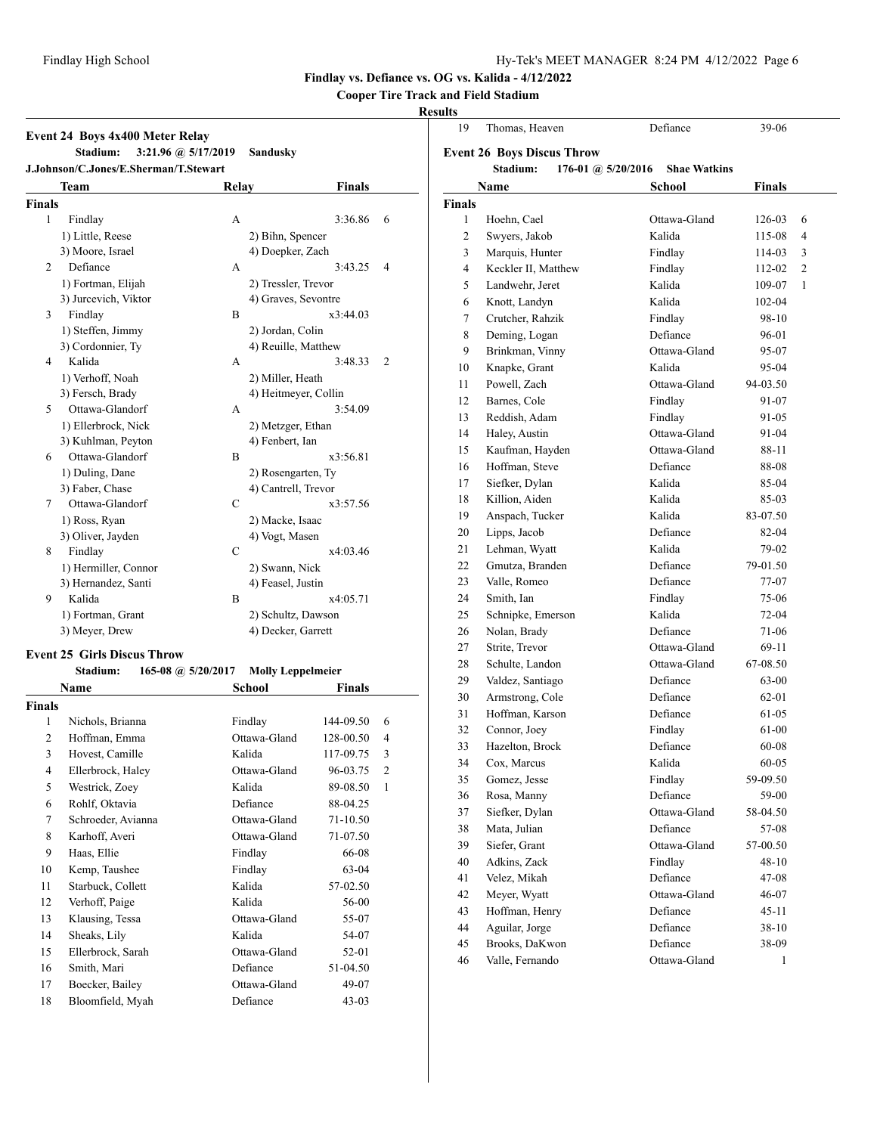# **Cooper Tire Track and Field Stadium**

## **Results**

| Team<br>Relay<br><b>Finals</b><br>1<br>Findlay<br>A<br>1) Little, Reese<br>2) Bihn, Spencer<br>3) Moore, Israel<br>4) Doepker, Zach<br>Defiance<br>2<br>А<br>1) Fortman, Elijah<br>2) Tressler, Trevor<br>3) Jurcevich, Viktor<br>4) Graves, Sevontre<br>Findlay<br>3<br>B<br>1) Steffen, Jimmy<br>2) Jordan, Colin<br>3) Cordonnier, Ty<br>4) Reuille, Matthew | <b>Finals</b> |                |
|-----------------------------------------------------------------------------------------------------------------------------------------------------------------------------------------------------------------------------------------------------------------------------------------------------------------------------------------------------------------|---------------|----------------|
|                                                                                                                                                                                                                                                                                                                                                                 |               |                |
|                                                                                                                                                                                                                                                                                                                                                                 |               |                |
|                                                                                                                                                                                                                                                                                                                                                                 | 3:36.86       | 6              |
|                                                                                                                                                                                                                                                                                                                                                                 |               |                |
|                                                                                                                                                                                                                                                                                                                                                                 |               |                |
|                                                                                                                                                                                                                                                                                                                                                                 | 3:43.25       | 4              |
|                                                                                                                                                                                                                                                                                                                                                                 |               |                |
|                                                                                                                                                                                                                                                                                                                                                                 |               |                |
|                                                                                                                                                                                                                                                                                                                                                                 | x3:44.03      |                |
|                                                                                                                                                                                                                                                                                                                                                                 |               |                |
|                                                                                                                                                                                                                                                                                                                                                                 |               |                |
| Kalida<br>4<br>A                                                                                                                                                                                                                                                                                                                                                | 3:48.33       | $\overline{2}$ |
| 1) Verhoff, Noah<br>2) Miller, Heath                                                                                                                                                                                                                                                                                                                            |               |                |
| 3) Fersch, Brady<br>4) Heitmeyer, Collin                                                                                                                                                                                                                                                                                                                        |               |                |
| Ottawa-Glandorf<br>5<br>А                                                                                                                                                                                                                                                                                                                                       | 3:54.09       |                |
| 1) Ellerbrock, Nick<br>2) Metzger, Ethan                                                                                                                                                                                                                                                                                                                        |               |                |
| 3) Kuhlman, Peyton<br>4) Fenbert, Ian                                                                                                                                                                                                                                                                                                                           |               |                |
| Ottawa-Glandorf<br>6<br>B                                                                                                                                                                                                                                                                                                                                       | x3:56.81      |                |
| 1) Duling, Dane<br>2) Rosengarten, Ty                                                                                                                                                                                                                                                                                                                           |               |                |
| 3) Faber, Chase<br>4) Cantrell, Trevor                                                                                                                                                                                                                                                                                                                          |               |                |
| Ottawa-Glandorf<br>7<br>C                                                                                                                                                                                                                                                                                                                                       | x3:57.56      |                |
| 1) Ross, Ryan<br>2) Macke, Isaac                                                                                                                                                                                                                                                                                                                                |               |                |
| 3) Oliver, Jayden<br>4) Vogt, Masen                                                                                                                                                                                                                                                                                                                             |               |                |
| $\overline{C}$<br>8<br>Findlay                                                                                                                                                                                                                                                                                                                                  | x4:03.46      |                |
| 1) Hermiller, Connor<br>2) Swann, Nick                                                                                                                                                                                                                                                                                                                          |               |                |
| 3) Hernandez, Santi<br>4) Feasel, Justin                                                                                                                                                                                                                                                                                                                        |               |                |
| Kalida<br>9<br>B                                                                                                                                                                                                                                                                                                                                                | x4:05.71      |                |
| 1) Fortman, Grant<br>2) Schultz, Dawson                                                                                                                                                                                                                                                                                                                         |               |                |
| 3) Meyer, Drew<br>4) Decker, Garrett                                                                                                                                                                                                                                                                                                                            |               |                |

# **Event 25 Girls Discus Throw**

| <b>Stadium:</b> | 165-08 @ $5/20/2017$ | <b>Molly Leppelmeier</b> |
|-----------------|----------------------|--------------------------|
|-----------------|----------------------|--------------------------|

|                | Name               | School       | Finals    |                |
|----------------|--------------------|--------------|-----------|----------------|
| Finals         |                    |              |           |                |
| 1              | Nichols, Brianna   | Findlay      | 144-09.50 | 6              |
| $\overline{2}$ | Hoffman, Emma      | Ottawa-Gland | 128-00.50 | 4              |
| 3              | Hovest, Camille    | Kalida       | 117-09.75 | 3              |
| 4              | Ellerbrock, Haley  | Ottawa-Gland | 96-03.75  | $\overline{c}$ |
| 5              | Westrick, Zoey     | Kalida       | 89-08.50  | $\mathbf{1}$   |
| 6              | Rohlf, Oktavia     | Defiance     | 88-04.25  |                |
| 7              | Schroeder, Avianna | Ottawa-Gland | 71-10.50  |                |
| 8              | Karhoff, Averi     | Ottawa-Gland | 71-07.50  |                |
| 9              | Haas, Ellie        | Findlay      | 66-08     |                |
| 10             | Kemp, Taushee      | Findlay      | 63-04     |                |
| 11             | Starbuck, Collett  | Kalida       | 57-02.50  |                |
| 12             | Verhoff, Paige     | Kalida       | 56-00     |                |
| 13             | Klausing, Tessa    | Ottawa-Gland | 55-07     |                |
| 14             | Sheaks, Lily       | Kalida       | 54-07     |                |
| 15             | Ellerbrock, Sarah  | Ottawa-Gland | 52-01     |                |
| 16             | Smith, Mari        | Defiance     | 51-04.50  |                |
| 17             | Boecker, Bailey    | Ottawa-Gland | 49-07     |                |
| 18             | Bloomfield, Myah   | Defiance     | $43-03$   |                |
|                |                    |              |           |                |

| 19            | Thomas, Heaven                    | Defiance            | 39-06     |   |
|---------------|-----------------------------------|---------------------|-----------|---|
|               | <b>Event 26 Boys Discus Throw</b> |                     |           |   |
|               | Stadium:<br>176-01 @ $5/20/2016$  | <b>Shae Watkins</b> |           |   |
|               | Name                              | School              | Finals    |   |
| <b>Finals</b> |                                   |                     |           |   |
| 1             | Hoehn, Cael                       | Ottawa-Gland        | 126-03    | 6 |
| 2             | Swyers, Jakob                     | Kalida              | 115-08    | 4 |
| 3             | Marquis, Hunter                   | Findlay             | 114-03    | 3 |
| 4             | Keckler II, Matthew               | Findlay             | 112-02    | 2 |
| 5             | Landwehr, Jeret                   | Kalida              | 109-07    | 1 |
| 6             | Knott, Landyn                     | Kalida              | 102-04    |   |
| 7             | Crutcher, Rahzik                  | Findlay             | 98-10     |   |
| 8             | Deming, Logan                     | Defiance            | 96-01     |   |
| 9             | Brinkman, Vinny                   | Ottawa-Gland        | 95-07     |   |
| 10            | Knapke, Grant                     | Kalida              | 95-04     |   |
| 11            | Powell, Zach                      | Ottawa-Gland        | 94-03.50  |   |
| 12            | Barnes, Cole                      | Findlay             | 91-07     |   |
| 13            | Reddish, Adam                     | Findlay             | 91-05     |   |
| 14            | Haley, Austin                     | Ottawa-Gland        | 91-04     |   |
| 15            | Kaufman, Hayden                   | Ottawa-Gland        | 88-11     |   |
| 16            | Hoffman, Steve                    | Defiance            | 88-08     |   |
| 17            | Siefker, Dylan                    | Kalida              | 85-04     |   |
| 18            | Killion, Aiden                    | Kalida              | 85-03     |   |
| 19            | Anspach, Tucker                   | Kalida              | 83-07.50  |   |
| 20            | Lipps, Jacob                      | Defiance            | 82-04     |   |
| 21            | Lehman, Wyatt                     | Kalida              | 79-02     |   |
| 22            | Gmutza, Branden                   | Defiance            | 79-01.50  |   |
| 23            | Valle, Romeo                      | Defiance            | 77-07     |   |
| 24            | Smith, Ian                        | Findlay             | 75-06     |   |
| 25            | Schnipke, Emerson                 | Kalida              | 72-04     |   |
| 26            | Nolan, Brady                      | Defiance            | 71-06     |   |
| 27            | Strite, Trevor                    | Ottawa-Gland        | 69-11     |   |
| 28            | Schulte, Landon                   | Ottawa-Gland        | 67-08.50  |   |
| 29            | Valdez, Santiago                  | Defiance            | 63-00     |   |
| 30            | Armstrong, Cole                   | Defiance            | 62-01     |   |
| 31            | Hoffman, Karson                   | Defiance            | 61-05     |   |
| 32            | Connor, Joey                      | Findlay             | 61-00     |   |
| 33            | Hazelton, Brock                   | Defiance            | 60-08     |   |
| 34            | Cox, Marcus                       | Kalida              | 60-05     |   |
| 35            | Gomez, Jesse                      | Findlay             | 59-09.50  |   |
| 36            | Rosa, Manny                       | Defiance            | 59-00     |   |
| 37            | Siefker, Dylan                    | Ottawa-Gland        | 58-04.50  |   |
| 38            | Mata, Julian                      | Defiance            | 57-08     |   |
| 39            | Siefer, Grant                     | Ottawa-Gland        | 57-00.50  |   |
| 40            | Adkins, Zack                      | Findlay             | 48-10     |   |
| 41            | Velez, Mikah                      | Defiance            | 47-08     |   |
| 42            | Meyer, Wyatt                      | Ottawa-Gland        | 46-07     |   |
| 43            | Hoffman, Henry                    | Defiance            | $45 - 11$ |   |
| 44            | Aguilar, Jorge                    | Defiance            | $38 - 10$ |   |
| 45            | Brooks, DaKwon                    | Defiance            | 38-09     |   |
| 46            | Valle, Fernando                   | Ottawa-Gland        | 1         |   |
|               |                                   |                     |           |   |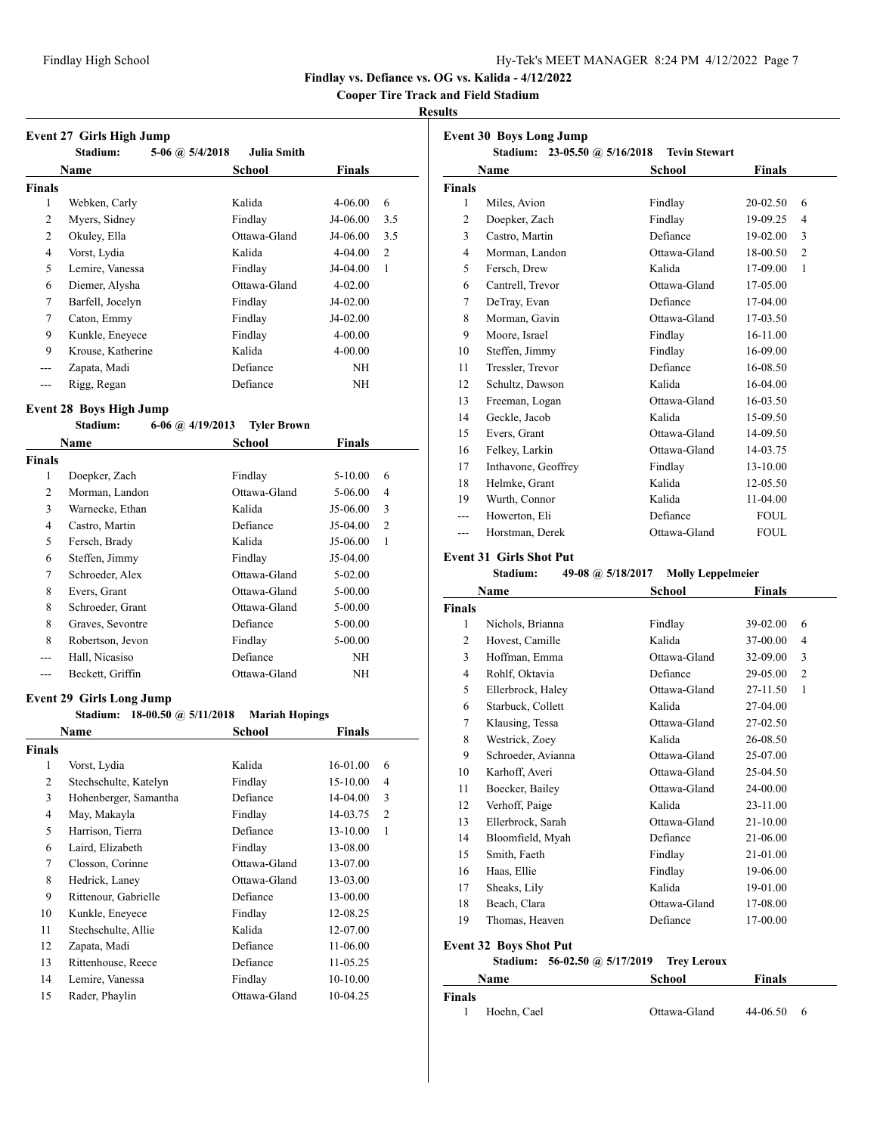**Cooper Tire Track and Field Stadium**

#### **Results**

|               | <b>Event 27 Girls High Jump</b><br>Stadium: | 5-06 @ $5/4/2018$ | <b>Julia Smith</b> |             |     |
|---------------|---------------------------------------------|-------------------|--------------------|-------------|-----|
|               | Name                                        |                   | School             | Finals      |     |
| <b>Finals</b> |                                             |                   |                    |             |     |
| 1             | Webken, Carly                               |                   | Kalida             | $4 - 06.00$ | 6   |
| 2             | Myers, Sidney                               |                   | Findlay            | J4-06.00    | 3.5 |
| 2             | Okuley, Ella                                |                   | Ottawa-Gland       | J4-06.00    | 3.5 |
| 4             | Vorst, Lydia                                |                   | Kalida             | $4-04.00$   | 2   |
| 5             | Lemire, Vanessa                             |                   | Findlay            | J4-04.00    | 1   |
| 6             | Diemer, Alysha                              |                   | Ottawa-Gland       | $4 - 02.00$ |     |
| 7             | Barfell, Jocelyn                            |                   | Findlay            | J4-02.00    |     |
| 7             | Caton, Emmy                                 |                   | Findlay            | J4-02.00    |     |
| 9             | Kunkle, Eneyece                             |                   | Findlay            | $4 - 00.00$ |     |
| 9             | Krouse, Katherine                           |                   | Kalida             | $4 - 00.00$ |     |
|               | Zapata, Madi                                |                   | Defiance           | NH          |     |
|               | Rigg, Regan                                 |                   | Defiance           | NH          |     |

## **Event 28 Boys High Jump**

|                | Stadium:         | $6-06$ (a) $4/19/2013$ | <b>Tyler Brown</b> |               |   |
|----------------|------------------|------------------------|--------------------|---------------|---|
|                | Name             |                        | School             | <b>Finals</b> |   |
| Finals         |                  |                        |                    |               |   |
| 1              | Doepker, Zach    |                        | Findlay            | 5-10.00       | 6 |
| $\overline{2}$ | Morman, Landon   |                        | Ottawa-Gland       | 5-06.00       | 4 |
| 3              | Warnecke, Ethan  |                        | Kalida             | J5-06.00      | 3 |
| 4              | Castro, Martin   |                        | Defiance           | $J5-04.00$    | 2 |
| 5              | Fersch, Brady    |                        | Kalida             | J5-06.00      | 1 |
| 6              | Steffen, Jimmy   |                        | Findlay            | $J5-04.00$    |   |
| 7              | Schroeder, Alex  |                        | Ottawa-Gland       | $5-02.00$     |   |
| 8              | Evers, Grant     |                        | Ottawa-Gland       | 5-00.00       |   |
| 8              | Schroeder, Grant |                        | Ottawa-Gland       | 5-00.00       |   |
| 8              | Graves, Sevontre |                        | Defiance           | 5-00.00       |   |
| 8              | Robertson, Jevon |                        | Findlay            | 5-00.00       |   |
| ---            | Hall, Nicasiso   |                        | Defiance           | NΗ            |   |
|                | Beckett, Griffin |                        | Ottawa-Gland       | NΗ            |   |

# **Event 29 Girls Long Jump**

|                | 18-00.50 @ $5/11/2018$<br>Stadium: | <b>Mariah Hopings</b> |              |                |
|----------------|------------------------------------|-----------------------|--------------|----------------|
|                | Name                               | School                | Finals       |                |
| Finals         |                                    |                       |              |                |
| 1              | Vorst, Lydia                       | Kalida                | 16-01.00     | 6              |
| $\overline{2}$ | Stechschulte, Katelyn              | Findlay               | $15 - 10.00$ | $\overline{4}$ |
| 3              | Hohenberger, Samantha              | Defiance              | 14-04.00     | 3              |
| 4              | May, Makayla                       | Findlay               | 14-03.75     | $\overline{2}$ |
| 5              | Harrison, Tierra                   | Defiance              | $13 - 10.00$ | 1              |
| 6              | Laird, Elizabeth                   | Findlay               | 13-08.00     |                |
| 7              | Closson, Corinne                   | Ottawa-Gland          | 13-07.00     |                |
| 8              | Hedrick, Laney                     | Ottawa-Gland          | 13-03.00     |                |
| 9              | Rittenour, Gabrielle               | Defiance              | 13-00.00     |                |
| 10             | Kunkle, Eneyece                    | Findlay               | 12-08.25     |                |
| 11             | Stechschulte, Allie                | Kalida                | 12-07.00     |                |
| 12             | Zapata, Madi                       | Defiance              | 11-06.00     |                |
| 13             | Rittenhouse, Reece                 | Defiance              | 11-05.25     |                |
| 14             | Lemire, Vanessa                    | Findlay               | 10-10.00     |                |
| 15             | Rader, Phaylin                     | Ottawa-Gland          | 10-04.25     |                |
|                |                                    |                       |              |                |

| <b>Event 30 Boys Long Jump</b> |                                   |                      |               |                |
|--------------------------------|-----------------------------------|----------------------|---------------|----------------|
|                                | Stadium: $23-05.50$ @ $5/16/2018$ | <b>Tevin Stewart</b> |               |                |
|                                | Name                              | School               | <b>Finals</b> |                |
| <b>Finals</b>                  |                                   |                      |               |                |
| 1                              | Miles, Avion                      | Findlay              | 20-02.50      | 6              |
| 2                              | Doepker, Zach                     | Findlay              | 19-09.25      | 4              |
| 3                              | Castro, Martin                    | Defiance             | 19-02.00      | 3              |
| $\overline{4}$                 | Morman, Landon                    | Ottawa-Gland         | 18-00.50      | $\overline{2}$ |
| 5                              | Fersch, Drew                      | Kalida               | 17-09.00      | 1              |
| 6                              | Cantrell, Trevor                  | Ottawa-Gland         | 17-05.00      |                |
| 7                              | DeTray, Evan                      | Defiance             | $17-04.00$    |                |
| 8                              | Morman, Gavin                     | Ottawa-Gland         | 17-03.50      |                |
| 9                              | Moore, Israel                     | Findlay              | 16-11.00      |                |
| 10                             | Steffen, Jimmy                    | Findlay              | 16-09.00      |                |
| 11                             | Tressler, Trevor                  | Defiance             | 16-08.50      |                |
| 12                             | Schultz, Dawson                   | Kalida               | 16-04.00      |                |
| 13                             | Freeman, Logan                    | Ottawa-Gland         | 16-03.50      |                |
| 14                             | Geckle, Jacob                     | Kalida               | 15-09.50      |                |
| 15                             | Evers, Grant                      | Ottawa-Gland         | 14-09.50      |                |
| 16                             | Felkey, Larkin                    | Ottawa-Gland         | 14-03.75      |                |
| 17                             | Inthavone, Geoffrey               | Findlay              | 13-10.00      |                |
| 18                             | Helmke, Grant                     | Kalida               | 12-05.50      |                |
| 19                             | Wurth, Connor                     | Kalida               | 11-04.00      |                |
|                                | Howerton, Eli                     | Defiance             | <b>FOUL</b>   |                |
| ---                            | Horstman, Derek                   | Ottawa-Gland         | <b>FOUL</b>   |                |

#### **Event 31 Girls Shot Put**

| Stadium: | 49-08 @ $5/18/2017$ | <b>Molly Leppelmeier</b> |
|----------|---------------------|--------------------------|
|----------|---------------------|--------------------------|

| Name   |                    | <b>School</b> | <b>Finals</b> |                |  |
|--------|--------------------|---------------|---------------|----------------|--|
| Finals |                    |               |               |                |  |
| 1      | Nichols, Brianna   | Findlay       | 39-02.00      | 6              |  |
| 2      | Hovest, Camille    | Kalida        | 37-00.00      | 4              |  |
| 3      | Hoffman, Emma      | Ottawa-Gland  | 32-09.00      | 3              |  |
| 4      | Rohlf, Oktavia     | Defiance      | 29-05.00      | $\overline{2}$ |  |
| 5      | Ellerbrock, Haley  | Ottawa-Gland  | 27-11.50      | 1              |  |
| 6      | Starbuck, Collett  | Kalida        | 27-04.00      |                |  |
| 7      | Klausing, Tessa    | Ottawa-Gland  | 27-02.50      |                |  |
| 8      | Westrick, Zoey     | Kalida        | 26-08.50      |                |  |
| 9      | Schroeder, Avianna | Ottawa-Gland  | 25-07.00      |                |  |
| 10     | Karhoff, Averi     | Ottawa-Gland  | 25-04.50      |                |  |
| 11     | Boecker, Bailey    | Ottawa-Gland  | 24-00.00      |                |  |
| 12     | Verhoff, Paige     | Kalida        | 23-11.00      |                |  |
| 13     | Ellerbrock, Sarah  | Ottawa-Gland  | $21 - 10.00$  |                |  |
| 14     | Bloomfield, Myah   | Defiance      | 21-06.00      |                |  |
| 15     | Smith, Faeth       | Findlay       | 21-01.00      |                |  |
| 16     | Haas, Ellie        | Findlay       | 19-06.00      |                |  |
| 17     | Sheaks, Lily       | Kalida        | 19-01.00      |                |  |
| 18     | Beach, Clara       | Ottawa-Gland  | 17-08.00      |                |  |
| 19     | Thomas, Heaven     | Defiance      | 17-00.00      |                |  |
|        |                    |               |               |                |  |

# **Event 32 Boys Shot Put**

## **Stadium: 56-02.50 @ 5/17/2019 Trey Leroux**

| <b>Name</b>   |             | <b>School</b> | <b>Finals</b> |  |  |
|---------------|-------------|---------------|---------------|--|--|
| <b>Finals</b> |             |               |               |  |  |
|               | Hoehn, Cael | Ottawa-Gland  | 44-06.50      |  |  |